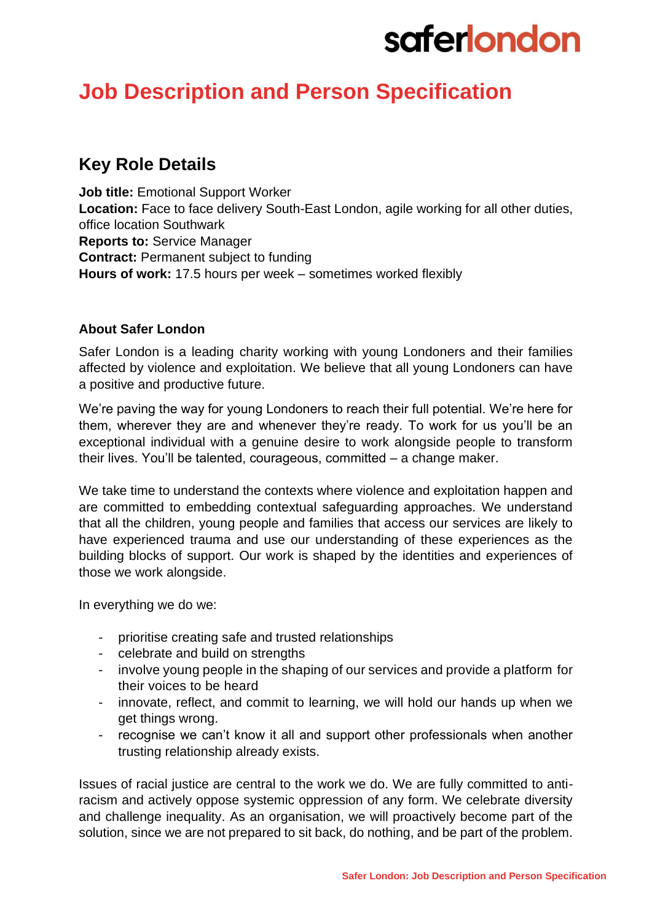# saferlondon

### **Job Description and Person Specification**

### **Key Role Details**

**Job title:** Emotional Support Worker **Location:** Face to face delivery South-East London, agile working for all other duties, office location Southwark **Reports to:** Service Manager **Contract:** Permanent subject to funding **Hours of work:** 17.5 hours per week – sometimes worked flexibly

### **About Safer London**

Safer London is a leading charity working with young Londoners and their families affected by violence and exploitation. We believe that all young Londoners can have a positive and productive future.

We're paving the way for young Londoners to reach their full potential. We're here for them, wherever they are and whenever they're ready. To work for us you'll be an exceptional individual with a genuine desire to work alongside people to transform their lives. You'll be talented, courageous, committed – a change maker.

We take time to understand the contexts where violence and exploitation happen and are committed to embedding contextual safeguarding approaches. We understand that all the children, young people and families that access our services are likely to have experienced trauma and use our understanding of these experiences as the building blocks of support. Our work is shaped by the identities and experiences of those we work alongside.

In everything we do we:

- prioritise creating safe and trusted relationships
- celebrate and build on strengths
- involve young people in the shaping of our services and provide a platform for their voices to be heard
- innovate, reflect, and commit to learning, we will hold our hands up when we get things wrong.
- recognise we can't know it all and support other professionals when another trusting relationship already exists.

Issues of racial justice are central to the work we do. We are fully committed to antiracism and actively oppose systemic oppression of any form. We celebrate diversity and challenge inequality. As an organisation, we will proactively become part of the solution, since we are not prepared to sit back, do nothing, and be part of the problem.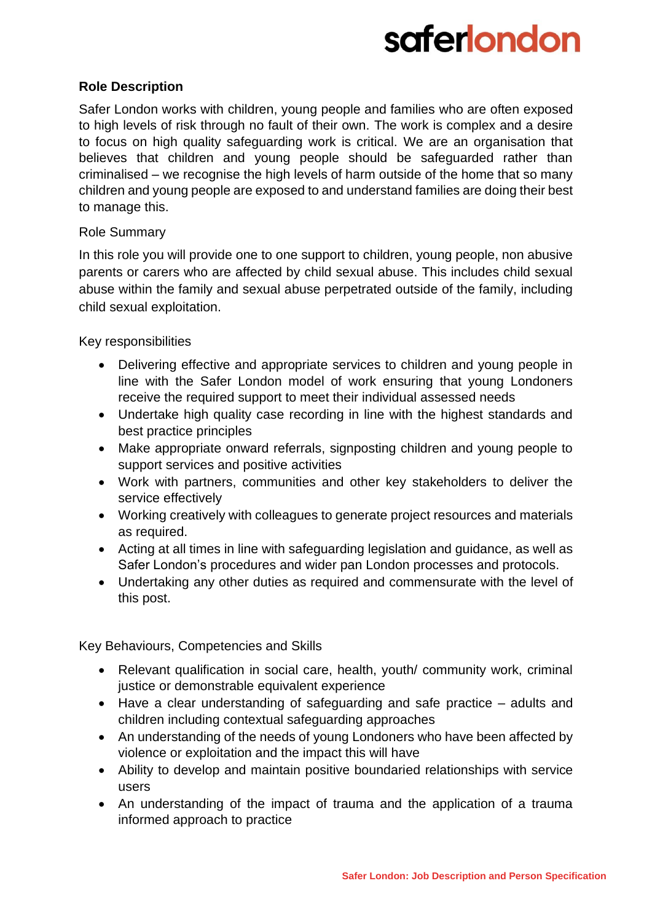# **saferlondon**

### **Role Description**

Safer London works with children, young people and families who are often exposed to high levels of risk through no fault of their own. The work is complex and a desire to focus on high quality safeguarding work is critical. We are an organisation that believes that children and young people should be safeguarded rather than criminalised – we recognise the high levels of harm outside of the home that so many children and young people are exposed to and understand families are doing their best to manage this.

#### Role Summary

In this role you will provide one to one support to children, young people, non abusive parents or carers who are affected by child sexual abuse. This includes child sexual abuse within the family and sexual abuse perpetrated outside of the family, including child sexual exploitation.

Key responsibilities

- Delivering effective and appropriate services to children and young people in line with the Safer London model of work ensuring that young Londoners receive the required support to meet their individual assessed needs
- Undertake high quality case recording in line with the highest standards and best practice principles
- Make appropriate onward referrals, signposting children and young people to support services and positive activities
- Work with partners, communities and other key stakeholders to deliver the service effectively
- Working creatively with colleagues to generate project resources and materials as required.
- Acting at all times in line with safeguarding legislation and guidance, as well as Safer London's procedures and wider pan London processes and protocols.
- Undertaking any other duties as required and commensurate with the level of this post.

Key Behaviours, Competencies and Skills

- Relevant qualification in social care, health, youth/ community work, criminal justice or demonstrable equivalent experience
- Have a clear understanding of safeguarding and safe practice adults and children including contextual safeguarding approaches
- An understanding of the needs of young Londoners who have been affected by violence or exploitation and the impact this will have
- Ability to develop and maintain positive boundaried relationships with service users
- An understanding of the impact of trauma and the application of a trauma informed approach to practice